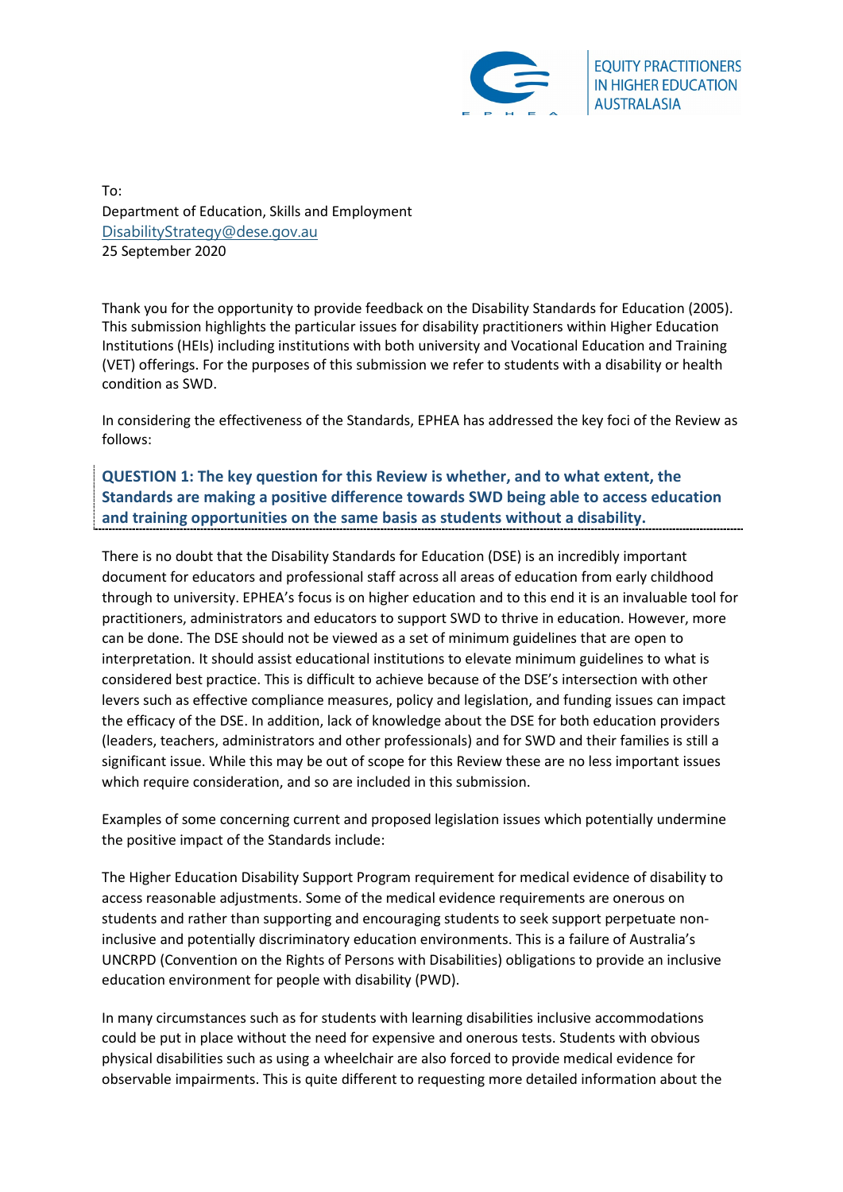

**EQUITY PRACTITIONERS IN HIGHER EDUCATION AUSTRALASIA** 

To: Department of Education, Skills and Employment [DisabilityStrategy@dese.gov.au](mailto:DisabilityStrategy@dese.gov.au) 25 September 2020

Thank you for the opportunity to provide feedback on the Disability Standards for Education (2005). This submission highlights the particular issues for disability practitioners within Higher Education Institutions (HEIs) including institutions with both university and Vocational Education and Training (VET) offerings. For the purposes of this submission we refer to students with a disability or health condition as SWD.

In considering the effectiveness of the Standards, EPHEA has addressed the key foci of the Review as follows:

**QUESTION 1: The key question for this Review is whether, and to what extent, the Standards are making a positive difference towards SWD being able to access education and training opportunities on the same basis as students without a disability.** 

There is no doubt that the Disability Standards for Education (DSE) is an incredibly important document for educators and professional staff across all areas of education from early childhood through to university. EPHEA's focus is on higher education and to this end it is an invaluable tool for practitioners, administrators and educators to support SWD to thrive in education. However, more can be done. The DSE should not be viewed as a set of minimum guidelines that are open to interpretation. It should assist educational institutions to elevate minimum guidelines to what is considered best practice. This is difficult to achieve because of the DSE's intersection with other levers such as effective compliance measures, policy and legislation, and funding issues can impact the efficacy of the DSE. In addition, lack of knowledge about the DSE for both education providers (leaders, teachers, administrators and other professionals) and for SWD and their families is still a significant issue. While this may be out of scope for this Review these are no less important issues which require consideration, and so are included in this submission.

Examples of some concerning current and proposed legislation issues which potentially undermine the positive impact of the Standards include:

The Higher Education Disability Support Program requirement for medical evidence of disability to access reasonable adjustments. Some of the medical evidence requirements are onerous on students and rather than supporting and encouraging students to seek support perpetuate noninclusive and potentially discriminatory education environments. This is a failure of Australia's UNCRPD (Convention on the Rights of Persons with Disabilities) obligations to provide an inclusive education environment for people with disability (PWD).

In many circumstances such as for students with learning disabilities inclusive accommodations could be put in place without the need for expensive and onerous tests. Students with obvious physical disabilities such as using a wheelchair are also forced to provide medical evidence for observable impairments. This is quite different to requesting more detailed information about the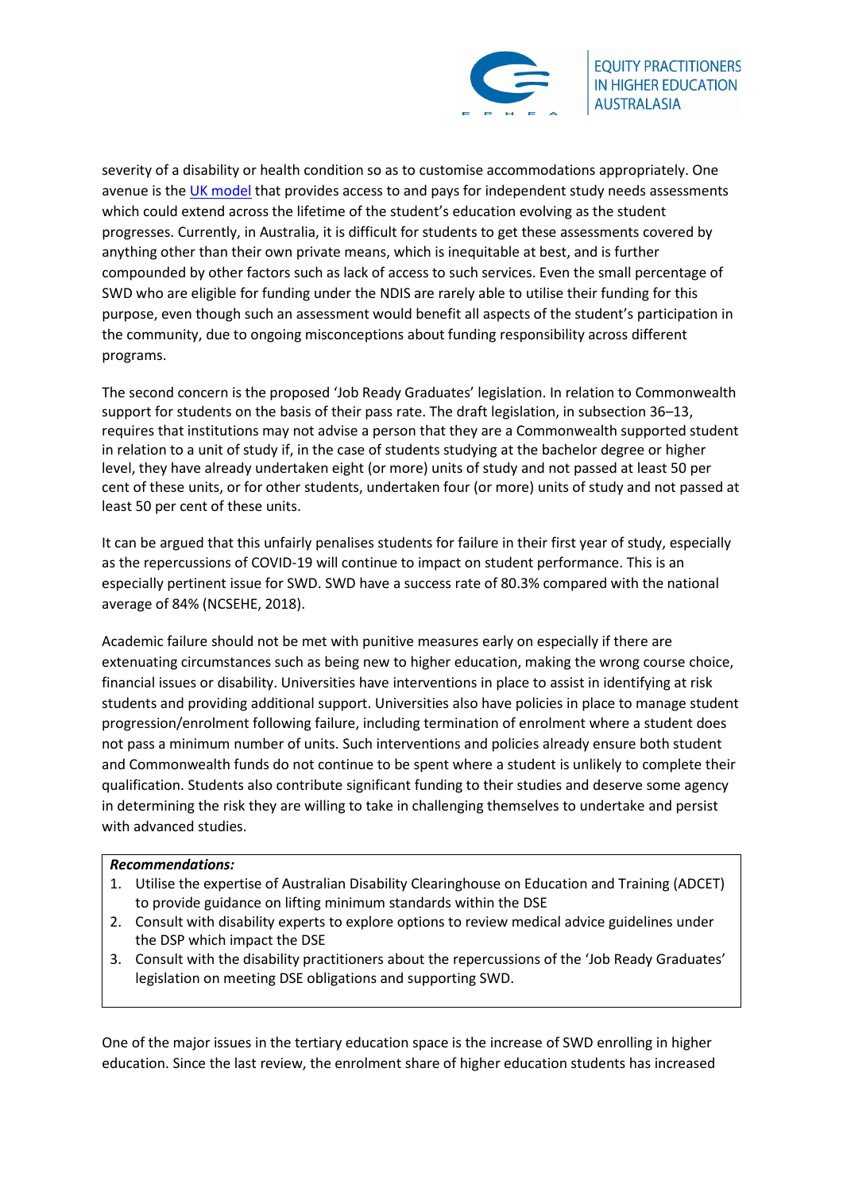

severity of a disability or health condition so as to customise accommodations appropriately. One avenue is the [UK model](https://www.ucas.com/student-finance-england/disabled-students-allowances#whats-available) that provides access to and pays for independent study needs assessments which could extend across the lifetime of the student's education evolving as the student progresses. Currently, in Australia, it is difficult for students to get these assessments covered by anything other than their own private means, which is inequitable at best, and is further compounded by other factors such as lack of access to such services. Even the small percentage of SWD who are eligible for funding under the NDIS are rarely able to utilise their funding for this purpose, even though such an assessment would benefit all aspects of the student's participation in the community, due to ongoing misconceptions about funding responsibility across different programs.

The second concern is the proposed 'Job Ready Graduates' legislation. In relation to Commonwealth support for students on the basis of their pass rate. The draft legislation, in subsection 36–13, requires that institutions may not advise a person that they are a Commonwealth supported student in relation to a unit of study if, in the case of students studying at the bachelor degree or higher level, they have already undertaken eight (or more) units of study and not passed at least 50 per cent of these units, or for other students, undertaken four (or more) units of study and not passed at least 50 per cent of these units.

It can be argued that this unfairly penalises students for failure in their first year of study, especially as the repercussions of COVID-19 will continue to impact on student performance. This is an especially pertinent issue for SWD. SWD have a success rate of 80.3% compared with the national average of 84% (NCSEHE, 2018).

Academic failure should not be met with punitive measures early on especially if there are extenuating circumstances such as being new to higher education, making the wrong course choice, financial issues or disability. Universities have interventions in place to assist in identifying at risk students and providing additional support. Universities also have policies in place to manage student progression/enrolment following failure, including termination of enrolment where a student does not pass a minimum number of units. Such interventions and policies already ensure both student and Commonwealth funds do not continue to be spent where a student is unlikely to complete their qualification. Students also contribute significant funding to their studies and deserve some agency in determining the risk they are willing to take in challenging themselves to undertake and persist with advanced studies.

## *Recommendations:*

- 1. Utilise the expertise of Australian Disability Clearinghouse on Education and Training (ADCET) to provide guidance on lifting minimum standards within the DSE
- 2. Consult with disability experts to explore options to review medical advice guidelines under the DSP which impact the DSE
- 3. Consult with the disability practitioners about the repercussions of the 'Job Ready Graduates' legislation on meeting DSE obligations and supporting SWD.

One of the major issues in the tertiary education space is the increase of SWD enrolling in higher education. Since the last review, the enrolment share of higher education students has increased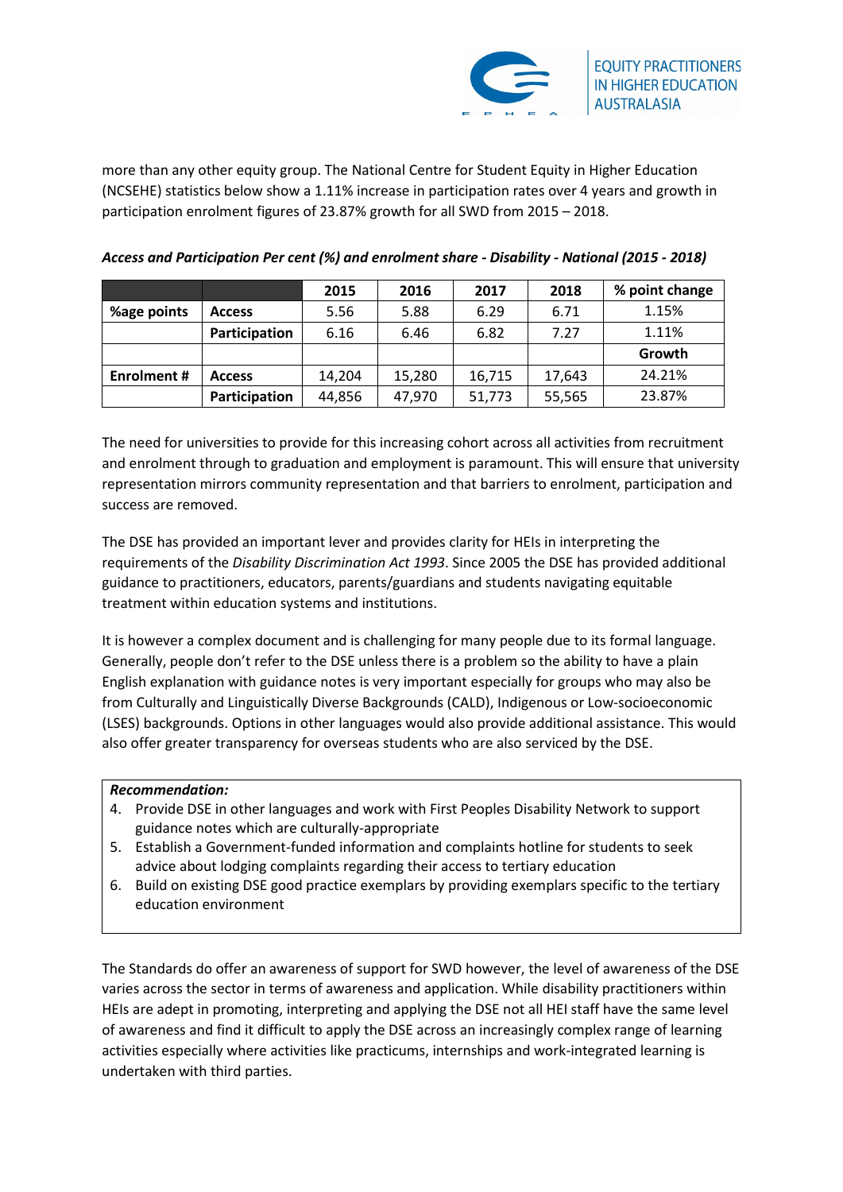

more than any other equity group. The National Centre for Student Equity in Higher Education (NCSEHE) statistics below show a 1.11% increase in participation rates over 4 years and growth in participation enrolment figures of 23.87% growth for all SWD from 2015 – 2018.

|                   |               | 2015   | 2016   | 2017   | 2018   | % point change |
|-------------------|---------------|--------|--------|--------|--------|----------------|
| %age points       | <b>Access</b> | 5.56   | 5.88   | 6.29   | 6.71   | 1.15%          |
|                   | Participation | 6.16   | 6.46   | 6.82   | 7.27   | 1.11%          |
|                   |               |        |        |        |        | Growth         |
| <b>Enrolment#</b> | <b>Access</b> | 14,204 | 15,280 | 16,715 | 17,643 | 24.21%         |
|                   | Participation | 44,856 | 47,970 | 51,773 | 55,565 | 23.87%         |

*Access and Participation Per cent (%) and enrolment share - Disability - National (2015 - 2018)*

The need for universities to provide for this increasing cohort across all activities from recruitment and enrolment through to graduation and employment is paramount. This will ensure that university representation mirrors community representation and that barriers to enrolment, participation and success are removed.

The DSE has provided an important lever and provides clarity for HEIs in interpreting the requirements of the *Disability Discrimination Act 1993*. Since 2005 the DSE has provided additional guidance to practitioners, educators, parents/guardians and students navigating equitable treatment within education systems and institutions.

It is however a complex document and is challenging for many people due to its formal language. Generally, people don't refer to the DSE unless there is a problem so the ability to have a plain English explanation with guidance notes is very important especially for groups who may also be from Culturally and Linguistically Diverse Backgrounds (CALD), Indigenous or Low-socioeconomic (LSES) backgrounds. Options in other languages would also provide additional assistance. This would also offer greater transparency for overseas students who are also serviced by the DSE.

# *Recommendation:*

- 4. Provide DSE in other languages and work with First Peoples Disability Network to support guidance notes which are culturally-appropriate
- 5. Establish a Government-funded information and complaints hotline for students to seek advice about lodging complaints regarding their access to tertiary education
- 6. Build on existing DSE good practice exemplars by providing exemplars specific to the tertiary education environment

The Standards do offer an awareness of support for SWD however, the level of awareness of the DSE varies across the sector in terms of awareness and application. While disability practitioners within HEIs are adept in promoting, interpreting and applying the DSE not all HEI staff have the same level of awareness and find it difficult to apply the DSE across an increasingly complex range of learning activities especially where activities like practicums, internships and work-integrated learning is undertaken with third parties.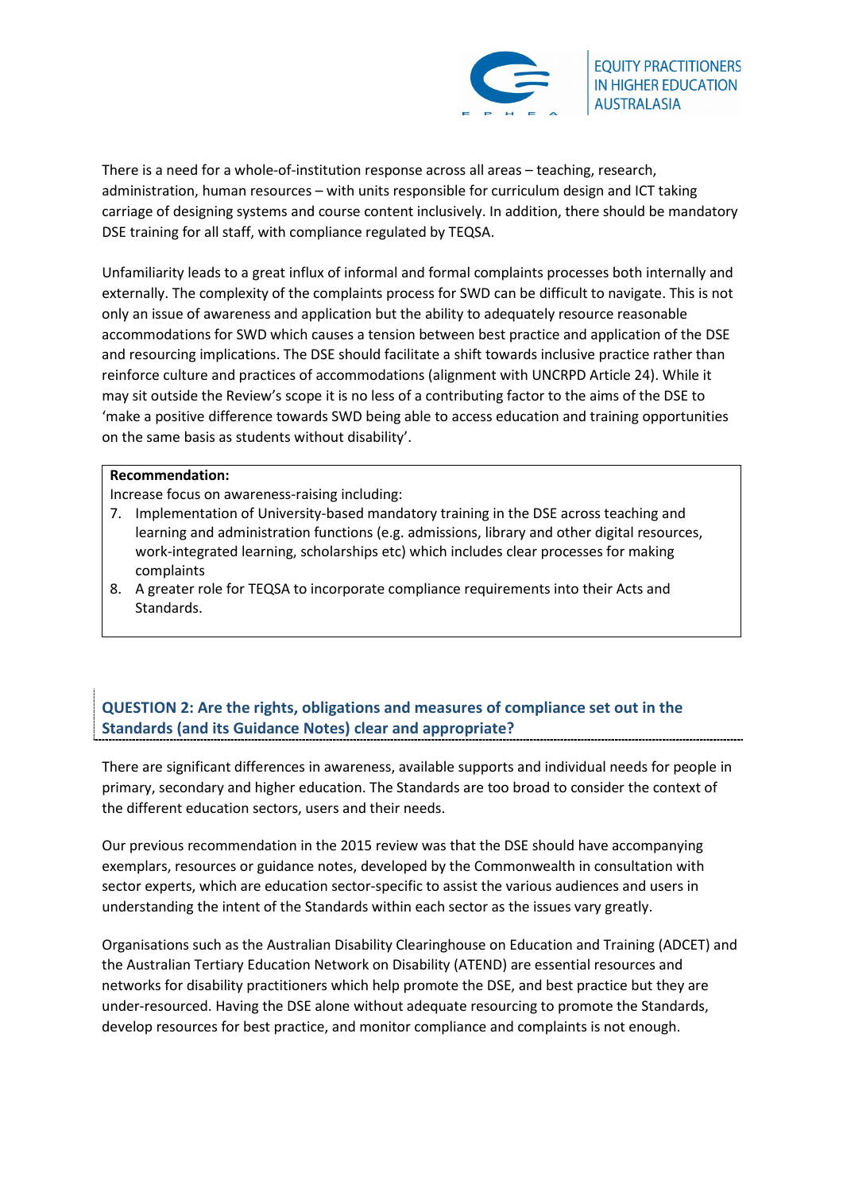

There is a need for a whole-of-institution response across all areas – teaching, research, administration, human resources – with units responsible for curriculum design and ICT taking carriage of designing systems and course content inclusively. In addition, there should be mandatory DSE training for all staff, with compliance regulated by TEQSA.

Unfamiliarity leads to a great influx of informal and formal complaints processes both internally and externally. The complexity of the complaints process for SWD can be difficult to navigate. This is not only an issue of awareness and application but the ability to adequately resource reasonable accommodations for SWD which causes a tension between best practice and application of the DSE and resourcing implications. The DSE should facilitate a shift towards inclusive practice rather than reinforce culture and practices of accommodations (alignment with UNCRPD Article 24). While it may sit outside the Review's scope it is no less of a contributing factor to the aims of the DSE to 'make a positive difference towards SWD being able to access education and training opportunities on the same basis as students without disability'.

## **Recommendation:**

Increase focus on awareness-raising including:

- 7. Implementation of University-based mandatory training in the DSE across teaching and learning and administration functions (e.g. admissions, library and other digital resources, work-integrated learning, scholarships etc) which includes clear processes for making complaints
- 8. A greater role for TEQSA to incorporate compliance requirements into their Acts and Standards.

# **QUESTION 2: Are the rights, obligations and measures of compliance set out in the Standards (and its Guidance Notes) clear and appropriate?**

There are significant differences in awareness, available supports and individual needs for people in primary, secondary and higher education. The Standards are too broad to consider the context of the different education sectors, users and their needs.

Our previous recommendation in the 2015 review was that the DSE should have accompanying exemplars, resources or guidance notes, developed by the Commonwealth in consultation with sector experts, which are education sector-specific to assist the various audiences and users in understanding the intent of the Standards within each sector as the issues vary greatly.

Organisations such as the Australian Disability Clearinghouse on Education and Training (ADCET) and the Australian Tertiary Education Network on Disability (ATEND) are essential resources and networks for disability practitioners which help promote the DSE, and best practice but they are under-resourced. Having the DSE alone without adequate resourcing to promote the Standards, develop resources for best practice, and monitor compliance and complaints is not enough.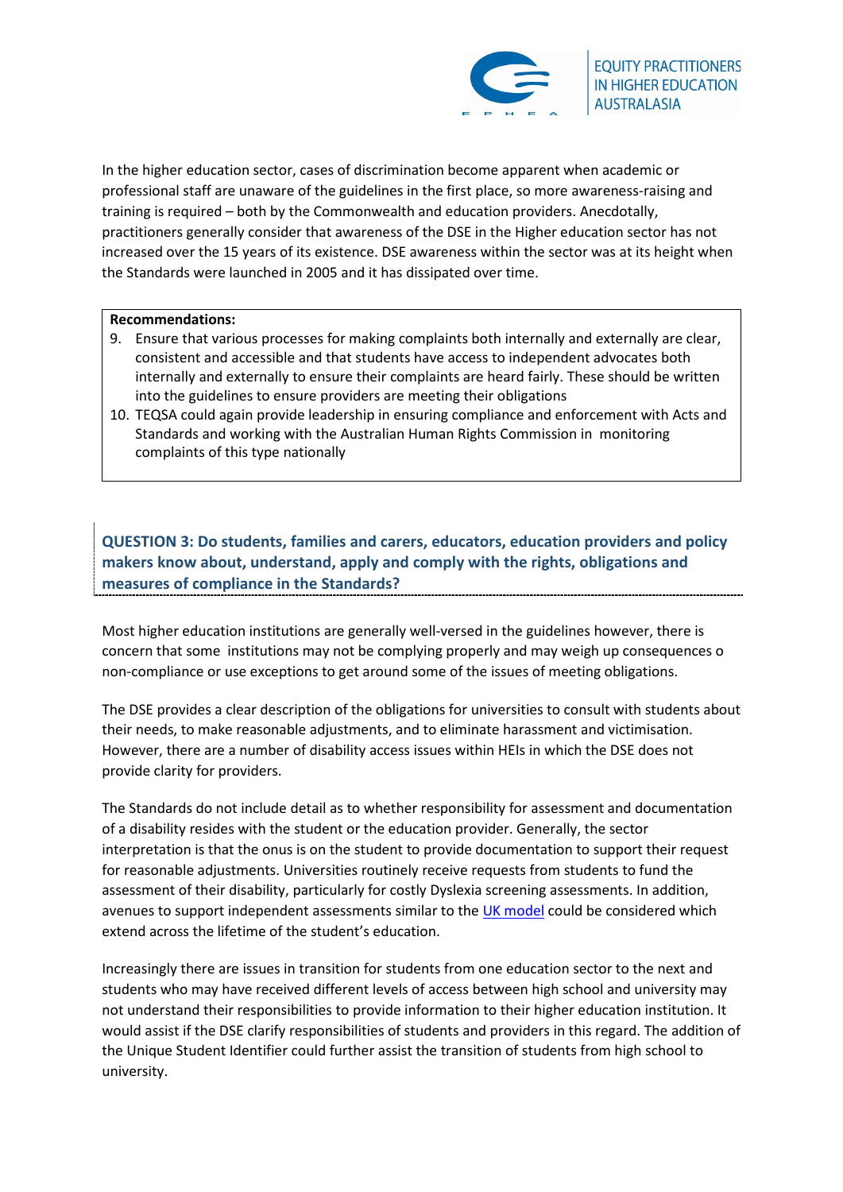

In the higher education sector, cases of discrimination become apparent when academic or professional staff are unaware of the guidelines in the first place, so more awareness-raising and training is required – both by the Commonwealth and education providers. Anecdotally, practitioners generally consider that awareness of the DSE in the Higher education sector has not increased over the 15 years of its existence. DSE awareness within the sector was at its height when the Standards were launched in 2005 and it has dissipated over time.

## **Recommendations:**

- 9. Ensure that various processes for making complaints both internally and externally are clear, consistent and accessible and that students have access to independent advocates both internally and externally to ensure their complaints are heard fairly. These should be written into the guidelines to ensure providers are meeting their obligations
- 10. TEQSA could again provide leadership in ensuring compliance and enforcement with Acts and Standards and working with the Australian Human Rights Commission in monitoring complaints of this type nationally

# **QUESTION 3: Do students, families and carers, educators, education providers and policy makers know about, understand, apply and comply with the rights, obligations and measures of compliance in the Standards?**

Most higher education institutions are generally well-versed in the guidelines however, there is concern that some institutions may not be complying properly and may weigh up consequences o non-compliance or use exceptions to get around some of the issues of meeting obligations.

The DSE provides a clear description of the obligations for universities to consult with students about their needs, to make reasonable adjustments, and to eliminate harassment and victimisation. However, there are a number of disability access issues within HEIs in which the DSE does not provide clarity for providers.

The Standards do not include detail as to whether responsibility for assessment and documentation of a disability resides with the student or the education provider. Generally, the sector interpretation is that the onus is on the student to provide documentation to support their request for reasonable adjustments. Universities routinely receive requests from students to fund the assessment of their disability, particularly for costly Dyslexia screening assessments. In addition, avenues to support independent assessments similar to the [UK model](https://www.ucas.com/student-finance-england/disabled-students-allowances#whats-available) could be considered which extend across the lifetime of the student's education.

Increasingly there are issues in transition for students from one education sector to the next and students who may have received different levels of access between high school and university may not understand their responsibilities to provide information to their higher education institution. It would assist if the DSE clarify responsibilities of students and providers in this regard. The addition of the Unique Student Identifier could further assist the transition of students from high school to university.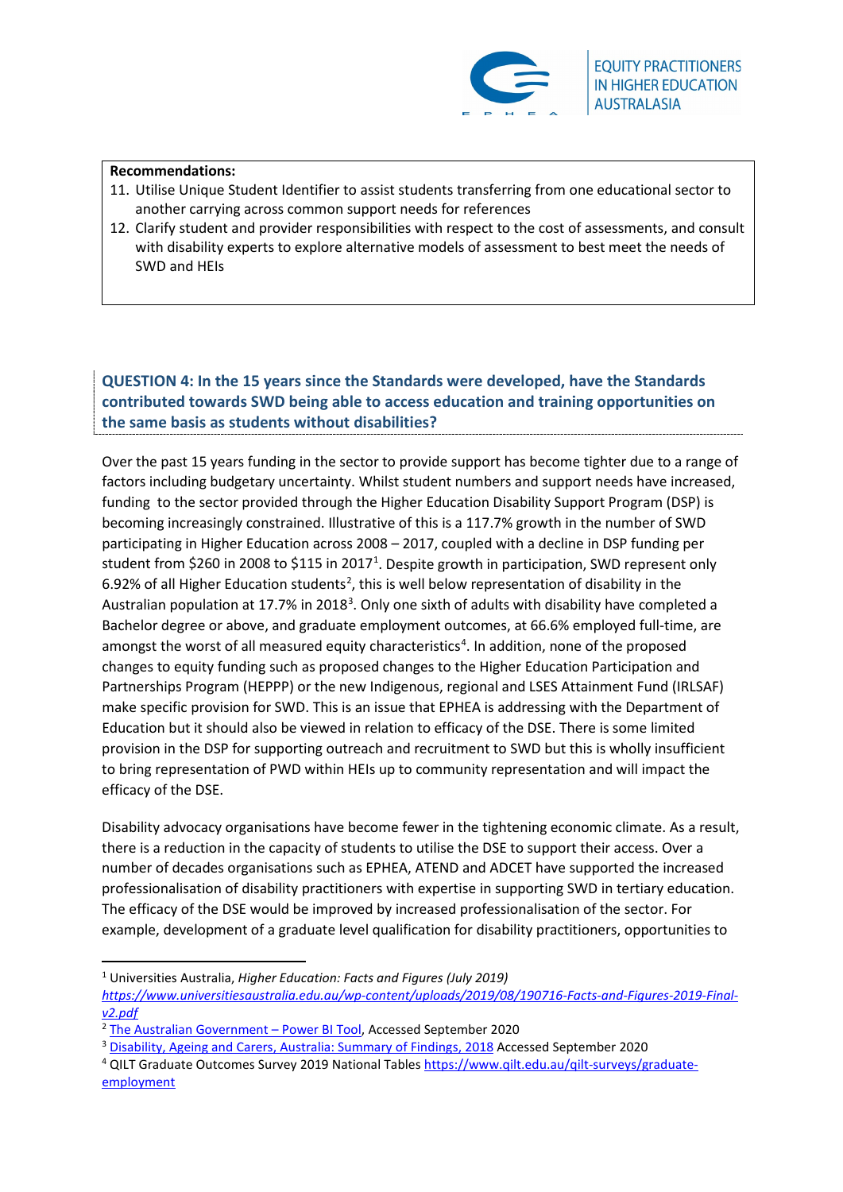

## **Recommendations:**

- 11. Utilise Unique Student Identifier to assist students transferring from one educational sector to another carrying across common support needs for references
- 12. Clarify student and provider responsibilities with respect to the cost of assessments, and consult with disability experts to explore alternative models of assessment to best meet the needs of SWD and HEIs

**QUESTION 4: In the 15 years since the Standards were developed, have the Standards contributed towards SWD being able to access education and training opportunities on the same basis as students without disabilities?** 

Over the past 15 years funding in the sector to provide support has become tighter due to a range of factors including budgetary uncertainty. Whilst student numbers and support needs have increased, funding to the sector provided through the Higher Education Disability Support Program (DSP) is becoming increasingly constrained. Illustrative of this is a 117.7% growth in the number of SWD participating in Higher Education across 2008 – 2017, coupled with a decline in DSP funding per student from \$260 in 2008 to \$[1](#page-5-0)15 in 2017<sup>1</sup>. Despite growth in participation, SWD represent only 6.9[2](#page-5-1)% of all Higher Education students<sup>2</sup>, this is well below representation of disability in the Australian population at 17.7% in 2018<sup>[3](#page-5-2)</sup>. Only one sixth of adults with disability have completed a Bachelor degree or above, and graduate employment outcomes, at 66.6% employed full-time, are amongst the worst of all measured equity characteristics<sup>[4](#page-5-3)</sup>. In addition, none of the proposed changes to equity funding such as proposed changes to the Higher Education Participation and Partnerships Program (HEPPP) or the new Indigenous, regional and LSES Attainment Fund (IRLSAF) make specific provision for SWD. This is an issue that EPHEA is addressing with the Department of Education but it should also be viewed in relation to efficacy of the DSE. There is some limited provision in the DSP for supporting outreach and recruitment to SWD but this is wholly insufficient to bring representation of PWD within HEIs up to community representation and will impact the efficacy of the DSE.

Disability advocacy organisations have become fewer in the tightening economic climate. As a result, there is a reduction in the capacity of students to utilise the DSE to support their access. Over a number of decades organisations such as EPHEA, ATEND and ADCET have supported the increased professionalisation of disability practitioners with expertise in supporting SWD in tertiary education. The efficacy of the DSE would be improved by increased professionalisation of the sector. For example, development of a graduate level qualification for disability practitioners, opportunities to

<span id="page-5-0"></span><sup>1</sup> Universities Australia, *Higher Education: Facts and Figures (July 2019)* 

*[https://www.universitiesaustralia.edu.au/wp-content/uploads/2019/08/190716-Facts-and-Figures-2019-Final](https://www.universitiesaustralia.edu.au/wp-content/uploads/2019/08/190716-Facts-and-Figures-2019-Final-v2.pdf)[v2.pdf](https://www.universitiesaustralia.edu.au/wp-content/uploads/2019/08/190716-Facts-and-Figures-2019-Final-v2.pdf)*

<span id="page-5-1"></span><sup>&</sup>lt;sup>2</sup> [The Australian Government –](https://app.powerbi.com/view?r=eyJrIjoiOTljMTY5YzYtYzYwNS00YjFlLWE1YTEtZTg2ZmMwNWU0MzRiIiwidCI6ImRkMGNmZDE1LTQ1NTgtNGIxMi04YmFkLWVhMjY5ODRmYzQxNyJ9) Power BI Tool, Accessed September 2020

<span id="page-5-2"></span><sup>&</sup>lt;sup>3</sup> [Disability, Ageing and Carers, Australia: Summary of Findings, 2018](https://www.abs.gov.au/Ausstats/ABS@.nsf/0/C258C88A7AA5A87ECA2568A9001393E8?Opendocument) Accessed September 2020

<span id="page-5-3"></span><sup>&</sup>lt;sup>4</sup> QILT Graduate Outcomes Survey 2019 National Table[s https://www.qilt.edu.au/qilt-surveys/graduate](https://www.qilt.edu.au/qilt-surveys/graduate-employment)[employment](https://www.qilt.edu.au/qilt-surveys/graduate-employment)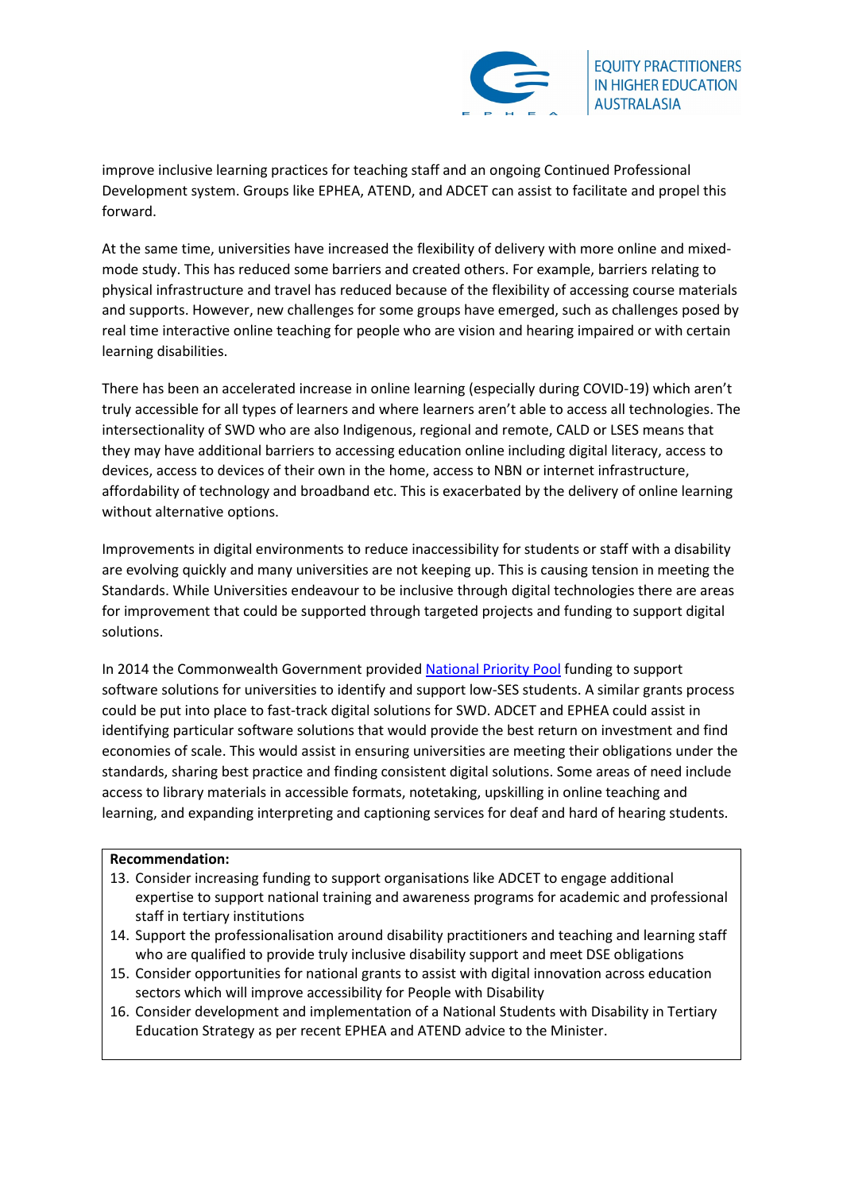

improve inclusive learning practices for teaching staff and an ongoing Continued Professional Development system. Groups like EPHEA, ATEND, and ADCET can assist to facilitate and propel this forward.

At the same time, universities have increased the flexibility of delivery with more online and mixedmode study. This has reduced some barriers and created others. For example, barriers relating to physical infrastructure and travel has reduced because of the flexibility of accessing course materials and supports. However, new challenges for some groups have emerged, such as challenges posed by real time interactive online teaching for people who are vision and hearing impaired or with certain learning disabilities.

There has been an accelerated increase in online learning (especially during COVID-19) which aren't truly accessible for all types of learners and where learners aren't able to access all technologies. The intersectionality of SWD who are also Indigenous, regional and remote, CALD or LSES means that they may have additional barriers to accessing education online including digital literacy, access to devices, access to devices of their own in the home, access to NBN or internet infrastructure, affordability of technology and broadband etc. This is exacerbated by the delivery of online learning without alternative options.

Improvements in digital environments to reduce inaccessibility for students or staff with a disability are evolving quickly and many universities are not keeping up. This is causing tension in meeting the Standards. While Universities endeavour to be inclusive through digital technologies there are areas for improvement that could be supported through targeted projects and funding to support digital solutions.

In 2014 the Commonwealth Government provide[d National Priority Pool](https://www.education.gov.au/national-priorities-pool-2014-projects) funding to support software solutions for universities to identify and support low-SES students. A similar grants process could be put into place to fast-track digital solutions for SWD. ADCET and EPHEA could assist in identifying particular software solutions that would provide the best return on investment and find economies of scale. This would assist in ensuring universities are meeting their obligations under the standards, sharing best practice and finding consistent digital solutions. Some areas of need include access to library materials in accessible formats, notetaking, upskilling in online teaching and learning, and expanding interpreting and captioning services for deaf and hard of hearing students.

## **Recommendation:**

- 13. Consider increasing funding to support organisations like ADCET to engage additional expertise to support national training and awareness programs for academic and professional staff in tertiary institutions
- 14. Support the professionalisation around disability practitioners and teaching and learning staff who are qualified to provide truly inclusive disability support and meet DSE obligations
- 15. Consider opportunities for national grants to assist with digital innovation across education sectors which will improve accessibility for People with Disability
- 16. Consider development and implementation of a National Students with Disability in Tertiary Education Strategy as per recent EPHEA and ATEND advice to the Minister.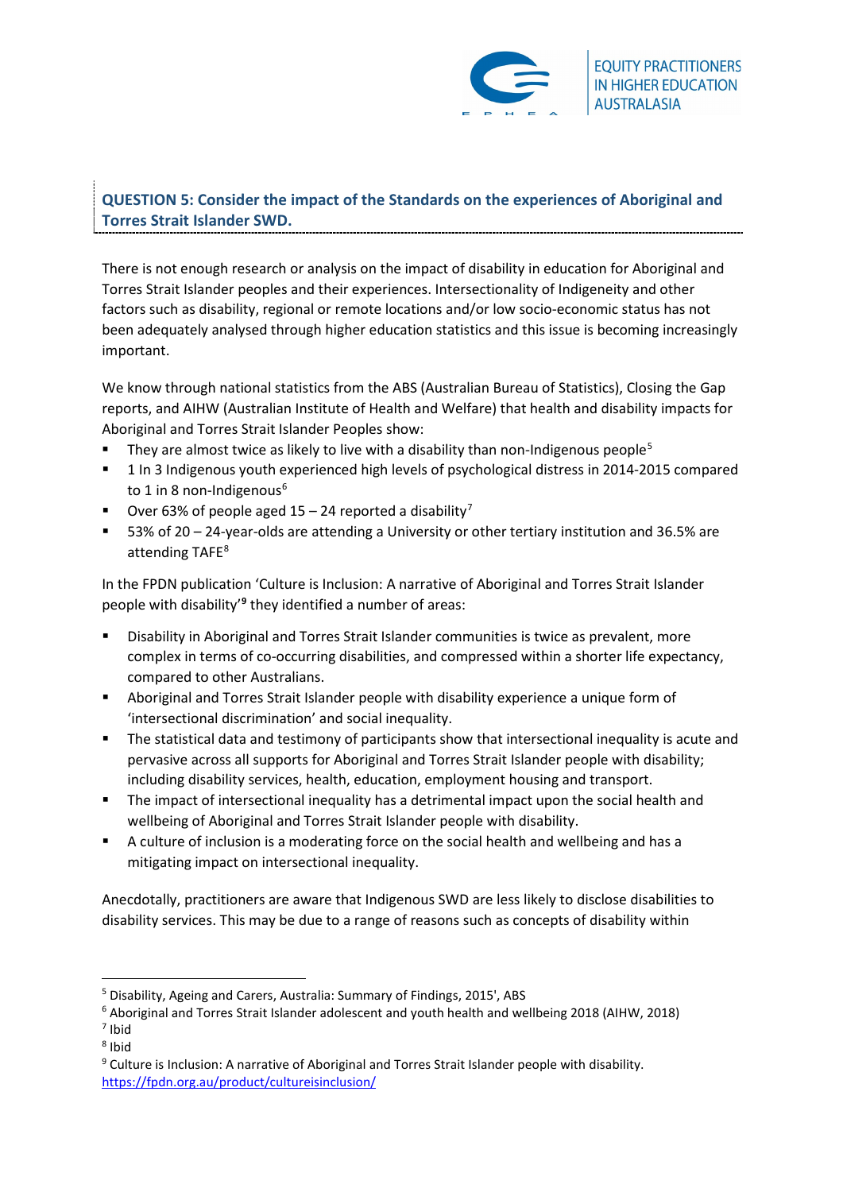

# **QUESTION 5: Consider the impact of the Standards on the experiences of Aboriginal and Torres Strait Islander SWD.**

There is not enough research or analysis on the impact of disability in education for Aboriginal and Torres Strait Islander peoples and their experiences. Intersectionality of Indigeneity and other factors such as disability, regional or remote locations and/or low socio-economic status has not been adequately analysed through higher education statistics and this issue is becoming increasingly important.

We know through national statistics from the ABS (Australian Bureau of Statistics), Closing the Gap reports, and AIHW (Australian Institute of Health and Welfare) that health and disability impacts for Aboriginal and Torres Strait Islander Peoples show:

- They are almost twice as likely to live with a disability than non-Indigenous people<sup>[5](#page-7-0)</sup>
- <sup>1</sup> 1 In 3 Indigenous youth experienced high levels of psychological distress in 2014-2015 compared to 1 in 8 non-Indigenous<sup>[6](#page-7-1)</sup>
- Over 63% of people aged  $15 24$  reported a disability<sup>[7](#page-7-2)</sup>
- 53% of 20 24-year-olds are attending a University or other tertiary institution and 36.5% are attending TAFE<sup>[8](#page-7-3)</sup>

In the FPDN publication 'Culture is Inclusion: A narrative of Aboriginal and Torres Strait Islander people with disability'**[9](#page-7-4)** they identified a number of areas:

- Disability in Aboriginal and Torres Strait Islander communities is twice as prevalent, more complex in terms of co-occurring disabilities, and compressed within a shorter life expectancy, compared to other Australians.
- Aboriginal and Torres Strait Islander people with disability experience a unique form of 'intersectional discrimination' and social inequality.
- The statistical data and testimony of participants show that intersectional inequality is acute and pervasive across all supports for Aboriginal and Torres Strait Islander people with disability; including disability services, health, education, employment housing and transport.
- The impact of intersectional inequality has a detrimental impact upon the social health and wellbeing of Aboriginal and Torres Strait Islander people with disability.
- A culture of inclusion is a moderating force on the social health and wellbeing and has a mitigating impact on intersectional inequality.

Anecdotally, practitioners are aware that Indigenous SWD are less likely to disclose disabilities to disability services. This may be due to a range of reasons such as concepts of disability within

<span id="page-7-0"></span><sup>5</sup> Disability, Ageing and Carers, Australia: Summary of Findings, 2015', ABS

<span id="page-7-1"></span><sup>6</sup> Aboriginal and Torres Strait Islander adolescent and youth health and wellbeing 2018 (AIHW, 2018) <sup>7</sup> Ibid

<span id="page-7-3"></span><span id="page-7-2"></span><sup>8</sup> Ibid

<span id="page-7-4"></span><sup>&</sup>lt;sup>9</sup> Culture is Inclusion: A narrative of Aboriginal and Torres Strait Islander people with disability. <https://fpdn.org.au/product/cultureisinclusion/>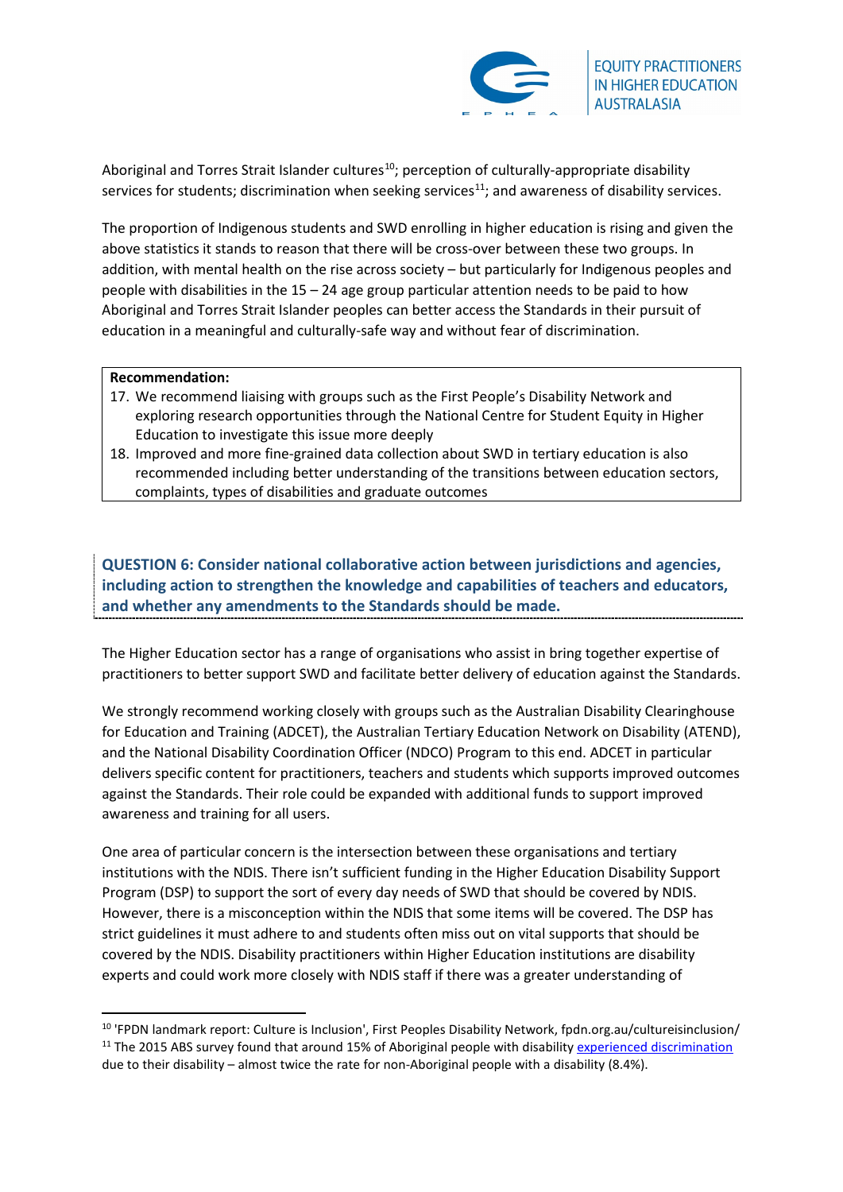

Aboriginal and Torres Strait Islander cultures<sup>10</sup>; perception of culturally-appropriate disability services for students; discrimination when seeking services<sup>11</sup>; and awareness of disability services.

The proportion of Indigenous students and SWD enrolling in higher education is rising and given the above statistics it stands to reason that there will be cross-over between these two groups. In addition, with mental health on the rise across society – but particularly for Indigenous peoples and people with disabilities in the 15 – 24 age group particular attention needs to be paid to how Aboriginal and Torres Strait Islander peoples can better access the Standards in their pursuit of education in a meaningful and culturally-safe way and without fear of discrimination.

## **Recommendation:**

- 17. We recommend liaising with groups such as the First People's Disability Network and exploring research opportunities through the National Centre for Student Equity in Higher Education to investigate this issue more deeply
- 18. Improved and more fine-grained data collection about SWD in tertiary education is also recommended including better understanding of the transitions between education sectors, complaints, types of disabilities and graduate outcomes

**QUESTION 6: Consider national collaborative action between jurisdictions and agencies, including action to strengthen the knowledge and capabilities of teachers and educators, and whether any amendments to the Standards should be made.**

The Higher Education sector has a range of organisations who assist in bring together expertise of practitioners to better support SWD and facilitate better delivery of education against the Standards.

We strongly recommend working closely with groups such as the Australian Disability Clearinghouse for Education and Training (ADCET), the Australian Tertiary Education Network on Disability (ATEND), and the National Disability Coordination Officer (NDCO) Program to this end. ADCET in particular delivers specific content for practitioners, teachers and students which supports improved outcomes against the Standards. Their role could be expanded with additional funds to support improved awareness and training for all users.

One area of particular concern is the intersection between these organisations and tertiary institutions with the NDIS. There isn't sufficient funding in the Higher Education Disability Support Program (DSP) to support the sort of every day needs of SWD that should be covered by NDIS. However, there is a misconception within the NDIS that some items will be covered. The DSP has strict guidelines it must adhere to and students often miss out on vital supports that should be covered by the NDIS. Disability practitioners within Higher Education institutions are disability experts and could work more closely with NDIS staff if there was a greater understanding of

<span id="page-8-1"></span><span id="page-8-0"></span><sup>&</sup>lt;sup>10</sup> 'FPDN landmark report: Culture is Inclusion', First Peoples Disability Network, fpdn.org.au/cultureisinclusion/ <sup>11</sup> The 2015 ABS survey found that around 15% of Aboriginal people with disabilit[y experienced discrimination](https://www.creativespirits.info/aboriginalculture/people/racial-discrimination-in-australia) due to their disability – almost twice the rate for non-Aboriginal people with a disability (8.4%).